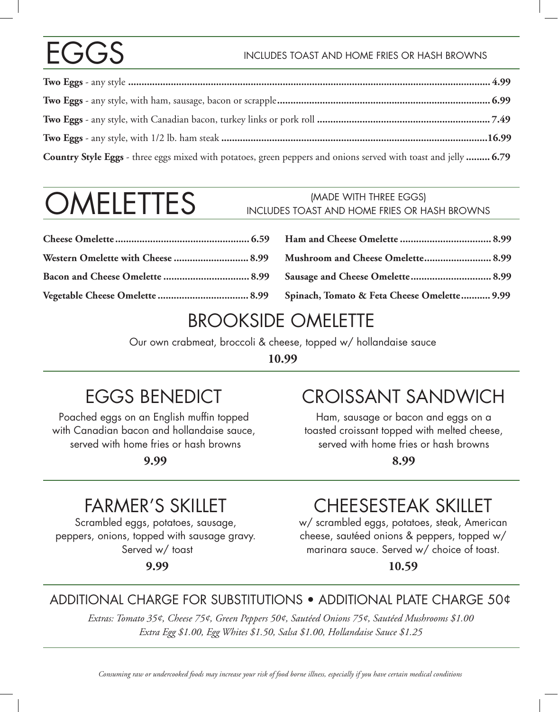# EGGS

#### INCLUDES TOAST AND HOME FRIES OR HASH BROWNS

| Country Style Eggs - three eggs mixed with potatoes, green peppers and onions served with toast and jelly  6.79 |  |
|-----------------------------------------------------------------------------------------------------------------|--|

# **OMELETTES**

#### (MADE WITH THREE EGGS) INCLUDES TOAST AND HOME FRIES OR HASH BROWNS

#### BROOKSIDE OMELETTE

Our own crabmeat, broccoli & cheese, topped w/ hollandaise sauce

**10.99**

### EGGS BENEDICT

Poached eggs on an English muffin topped with Canadian bacon and hollandaise sauce, served with home fries or hash browns

**9.99**

## CROISSANT SANDWICH

Ham, sausage or bacon and eggs on a toasted croissant topped with melted cheese, served with home fries or hash browns

**8.99**

### FARMER'S SKILLET

Scrambled eggs, potatoes, sausage, peppers, onions, topped with sausage gravy. Served w/ toast

**9.99**

## CHEESESTEAK SKILLET

w/ scrambled eggs, potatoes, steak, American cheese, sautéed onions & peppers, topped w/ marinara sauce. Served w/ choice of toast.

**10.59**

#### ADDITIONAL CHARGE FOR SUBSTITUTIONS • ADDITIONAL PLATE CHARGE 50¢

*Extras: Tomato 35¢, Cheese 75¢, Green Peppers 50¢, Sautéed Onions 75¢, Sautéed Mushrooms \$1.00 Extra Egg \$1.00, Egg Whites \$1.50, Salsa \$1.00, Hollandaise Sauce \$1.25*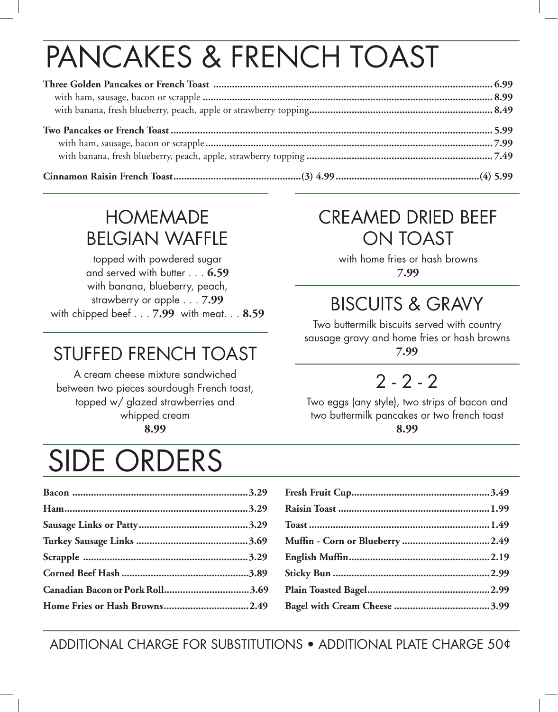# PANCAKES & FRENCH TOAST

### HOMEMADE BELGIAN WAFFLE

topped with powdered sugar and served with butter . . . **6.59** with banana, blueberry, peach, strawberry or apple . . . **7.99** with chipped beef . . . **7.99** with meat. . . **8.59**

## STUFFED FRENCH TOAST

A cream cheese mixture sandwiched between two pieces sourdough French toast, topped w/ glazed strawberries and whipped cream **8.99**

## SIDE ORDERS

#### ADDITIONAL CHARGE FOR SUBSTITUTIONS • ADDITIONAL PLATE CHARGE 50¢

### CREAMED DRIED BEEF ON TOAST

with home fries or hash browns **7.99**

## BISCUITS & GRAVY

Two buttermilk biscuits served with country sausage gravy and home fries or hash browns **7.99**

## 2 - 2 - 2

Two eggs (any style), two strips of bacon and two buttermilk pancakes or two french toast **8.99**